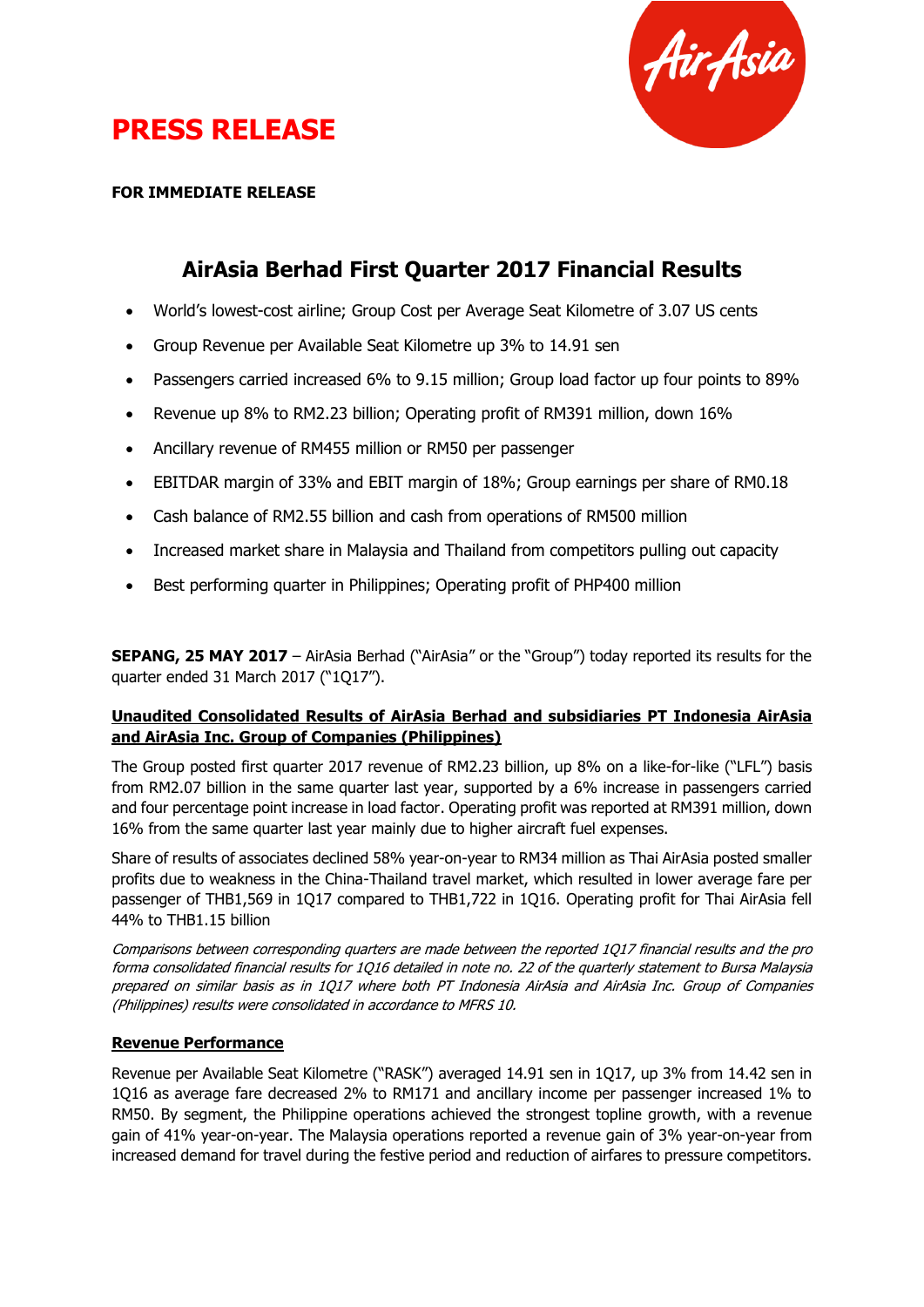

# **PRESS RELEASE**

### **FOR IMMEDIATE RELEASE**

### **AirAsia Berhad First Quarter 2017 Financial Results**

- World's lowest-cost airline; Group Cost per Average Seat Kilometre of 3.07 US cents
- Group Revenue per Available Seat Kilometre up 3% to 14.91 sen
- Passengers carried increased 6% to 9.15 million; Group load factor up four points to 89%
- Revenue up 8% to RM2.23 billion; Operating profit of RM391 million, down 16%
- Ancillary revenue of RM455 million or RM50 per passenger
- EBITDAR margin of 33% and EBIT margin of 18%; Group earnings per share of RM0.18
- Cash balance of RM2.55 billion and cash from operations of RM500 million
- Increased market share in Malaysia and Thailand from competitors pulling out capacity
- Best performing quarter in Philippines; Operating profit of PHP400 million

**SEPANG, 25 MAY 2017** – AirAsia Berhad ("AirAsia" or the "Group") today reported its results for the quarter ended 31 March 2017 ("1Q17").

### **Unaudited Consolidated Results of AirAsia Berhad and subsidiaries PT Indonesia AirAsia and AirAsia Inc. Group of Companies (Philippines)**

The Group posted first quarter 2017 revenue of RM2.23 billion, up 8% on a like-for-like ("LFL") basis from RM2.07 billion in the same quarter last year, supported by a 6% increase in passengers carried and four percentage point increase in load factor. Operating profit was reported at RM391 million, down 16% from the same quarter last year mainly due to higher aircraft fuel expenses.

Share of results of associates declined 58% year-on-year to RM34 million as Thai AirAsia posted smaller profits due to weakness in the China-Thailand travel market, which resulted in lower average fare per passenger of THB1,569 in 1Q17 compared to THB1,722 in 1Q16. Operating profit for Thai AirAsia fell 44% to THB1.15 billion

Comparisons between corresponding quarters are made between the reported 1Q17 financial results and the pro forma consolidated financial results for 1Q16 detailed in note no. 22 of the quarterly statement to Bursa Malaysia prepared on similar basis as in 1Q17 where both PT Indonesia AirAsia and AirAsia Inc. Group of Companies (Philippines) results were consolidated in accordance to MFRS 10.

### **Revenue Performance**

Revenue per Available Seat Kilometre ("RASK") averaged 14.91 sen in 1Q17, up 3% from 14.42 sen in 1Q16 as average fare decreased 2% to RM171 and ancillary income per passenger increased 1% to RM50. By segment, the Philippine operations achieved the strongest topline growth, with a revenue gain of 41% year-on-year. The Malaysia operations reported a revenue gain of 3% year-on-year from increased demand for travel during the festive period and reduction of airfares to pressure competitors.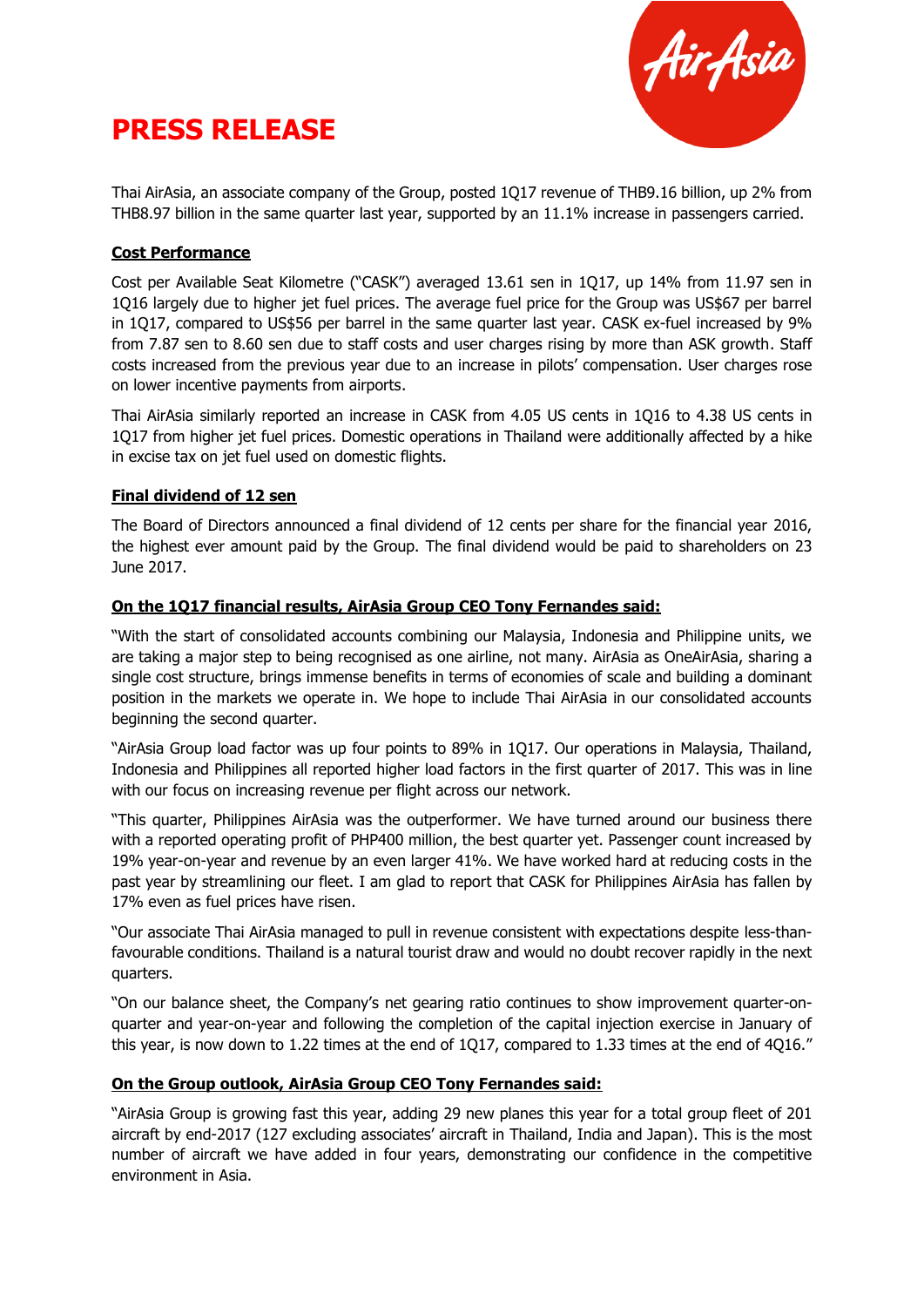



Thai AirAsia, an associate company of the Group, posted 1Q17 revenue of THB9.16 billion, up 2% from THB8.97 billion in the same quarter last year, supported by an 11.1% increase in passengers carried.

### **Cost Performance**

Cost per Available Seat Kilometre ("CASK") averaged 13.61 sen in 1Q17, up 14% from 11.97 sen in 1Q16 largely due to higher jet fuel prices. The average fuel price for the Group was US\$67 per barrel in 1Q17, compared to US\$56 per barrel in the same quarter last year. CASK ex-fuel increased by 9% from 7.87 sen to 8.60 sen due to staff costs and user charges rising by more than ASK growth. Staff costs increased from the previous year due to an increase in pilots' compensation. User charges rose on lower incentive payments from airports.

Thai AirAsia similarly reported an increase in CASK from 4.05 US cents in 1Q16 to 4.38 US cents in 1Q17 from higher jet fuel prices. Domestic operations in Thailand were additionally affected by a hike in excise tax on jet fuel used on domestic flights.

#### **Final dividend of 12 sen**

The Board of Directors announced a final dividend of 12 cents per share for the financial year 2016, the highest ever amount paid by the Group. The final dividend would be paid to shareholders on 23 June 2017.

#### **On the 1Q17 financial results, AirAsia Group CEO Tony Fernandes said:**

"With the start of consolidated accounts combining our Malaysia, Indonesia and Philippine units, we are taking a major step to being recognised as one airline, not many. AirAsia as OneAirAsia, sharing a single cost structure, brings immense benefits in terms of economies of scale and building a dominant position in the markets we operate in. We hope to include Thai AirAsia in our consolidated accounts beginning the second quarter.

"AirAsia Group load factor was up four points to 89% in 1Q17. Our operations in Malaysia, Thailand, Indonesia and Philippines all reported higher load factors in the first quarter of 2017. This was in line with our focus on increasing revenue per flight across our network.

"This quarter, Philippines AirAsia was the outperformer. We have turned around our business there with a reported operating profit of PHP400 million, the best quarter yet. Passenger count increased by 19% year-on-year and revenue by an even larger 41%. We have worked hard at reducing costs in the past year by streamlining our fleet. I am glad to report that CASK for Philippines AirAsia has fallen by 17% even as fuel prices have risen.

"Our associate Thai AirAsia managed to pull in revenue consistent with expectations despite less-thanfavourable conditions. Thailand is a natural tourist draw and would no doubt recover rapidly in the next quarters.

"On our balance sheet, the Company's net gearing ratio continues to show improvement quarter-onquarter and year-on-year and following the completion of the capital injection exercise in January of this year, is now down to 1.22 times at the end of 1Q17, compared to 1.33 times at the end of 4Q16."

#### **On the Group outlook, AirAsia Group CEO Tony Fernandes said:**

"AirAsia Group is growing fast this year, adding 29 new planes this year for a total group fleet of 201 aircraft by end-2017 (127 excluding associates' aircraft in Thailand, India and Japan). This is the most number of aircraft we have added in four years, demonstrating our confidence in the competitive environment in Asia.